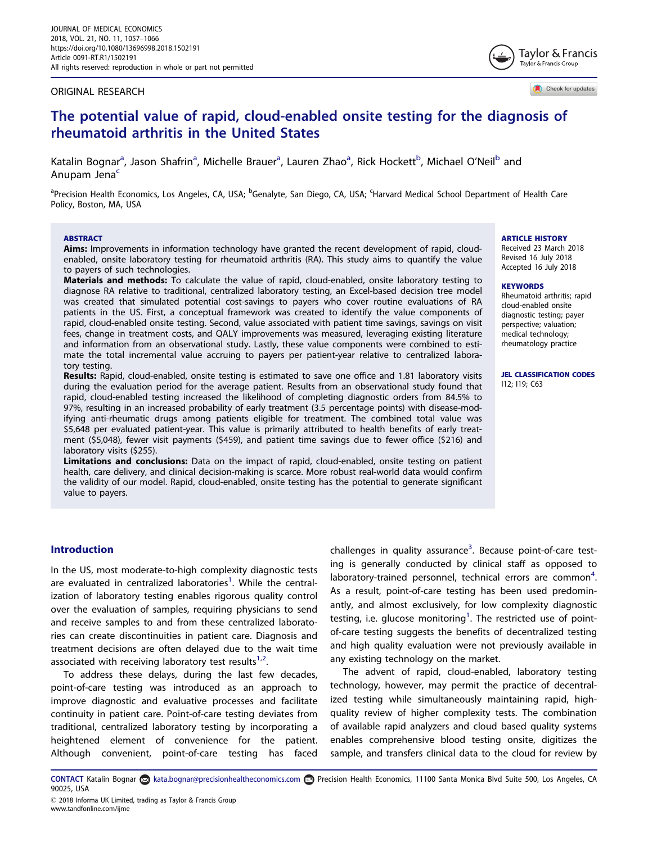#### <span id="page-0-0"></span>ORIGINAL RESEARCH

Taylor & Francis Taylor & Francis Group

Check for updates

# The potential value of rapid, cloud-enabled onsite testing for the diagnosis of rheumatoid arthritis in the United States

Katalin Bognar<sup>a</sup>, Jason Shafrin<sup>a</sup>, Michelle Brauer<sup>a</sup>, Lauren Zhao<sup>a</sup>, Rick Hockett<sup>b</sup>, Michael O'Neil<sup>b</sup> and Anupam Jena<sup>c</sup>

<sup>a</sup>Precision Health Economics, Los Angeles, CA, USA; <sup>b</sup>Genalyte, San Diego, CA, USA; <sup>c</sup>Harvard Medical School Department of Health Care Policy, Boston, MA, USA

#### **ARSTRACT**

Aims: Improvements in information technology have granted the recent development of rapid, cloudenabled, onsite laboratory testing for rheumatoid arthritis (RA). This study aims to quantify the value to payers of such technologies.

Materials and methods: To calculate the value of rapid, cloud-enabled, onsite laboratory testing to diagnose RA relative to traditional, centralized laboratory testing, an Excel-based decision tree model was created that simulated potential cost-savings to payers who cover routine evaluations of RA patients in the US. First, a conceptual framework was created to identify the value components of rapid, cloud-enabled onsite testing. Second, value associated with patient time savings, savings on visit fees, change in treatment costs, and QALY improvements was measured, leveraging existing literature and information from an observational study. Lastly, these value components were combined to estimate the total incremental value accruing to payers per patient-year relative to centralized laboratory testing.

Results: Rapid, cloud-enabled, onsite testing is estimated to save one office and 1.81 laboratory visits during the evaluation period for the average patient. Results from an observational study found that rapid, cloud-enabled testing increased the likelihood of completing diagnostic orders from 84.5% to 97%, resulting in an increased probability of early treatment (3.5 percentage points) with disease-modifying anti-rheumatic drugs among patients eligible for treatment. The combined total value was \$5,648 per evaluated patient-year. This value is primarily attributed to health benefits of early treatment (\$5,048), fewer visit payments (\$459), and patient time savings due to fewer office (\$216) and laboratory visits (\$255).

Limitations and conclusions: Data on the impact of rapid, cloud-enabled, onsite testing on patient health, care delivery, and clinical decision-making is scarce. More robust real-world data would confirm the validity of our model. Rapid, cloud-enabled, onsite testing has the potential to generate significant value to payers.

ARTICLE HISTORY

Received 23 March 2018 Revised 16 July 2018 Accepted 16 July 2018

#### **KEYWORDS**

Rheumatoid arthritis; rapid cloud-enabled onsite diagnostic testing; payer perspective; valuation; medical technology; rheumatology practice

JEL CLASSIFICATION CODES I12; I19; C63

# Introduction

www.tandfonline.com/ijme

In the US, most moderate-to-high complexity diagnostic tests are evaluated in centralized laboratories<sup>[1](#page-8-0)</sup>. While the centralization of laboratory testing enables rigorous quality control over the evaluation of samples, requiring physicians to send and receive samples to and from these centralized laboratories can create discontinuities in patient care. Diagnosis and treatment decisions are often delayed due to the wait time associated with receiving laboratory test results<sup>[1](#page-8-0),[2](#page-8-0)</sup>.

To address these delays, during the last few decades, point-of-care testing was introduced as an approach to improve diagnostic and evaluative processes and facilitate continuity in patient care. Point-of-care testing deviates from traditional, centralized laboratory testing by incorporating a heightened element of convenience for the patient. Although convenient, point-of-care testing has faced

challenges in quality assurance<sup>[3](#page-8-0)</sup>. Because point-of-care testing is generally conducted by clinical staff as opposed to laboratory-trained personnel, technical errors are common<sup>[4](#page-8-0)</sup>. As a result, point-of-care testing has been used predominantly, and almost exclusively, for low complexity diagnostic testing, i.e. glucose monitoring $^1$ . The restricted use of pointof-care testing suggests the benefits of decentralized testing and high quality evaluation were not previously available in any existing technology on the market.

The advent of rapid, cloud-enabled, laboratory testing technology, however, may permit the practice of decentralized testing while simultaneously maintaining rapid, highquality review of higher complexity tests. The combination of available rapid analyzers and cloud based quality systems enables comprehensive blood testing onsite, digitizes the sample, and transfers clinical data to the cloud for review by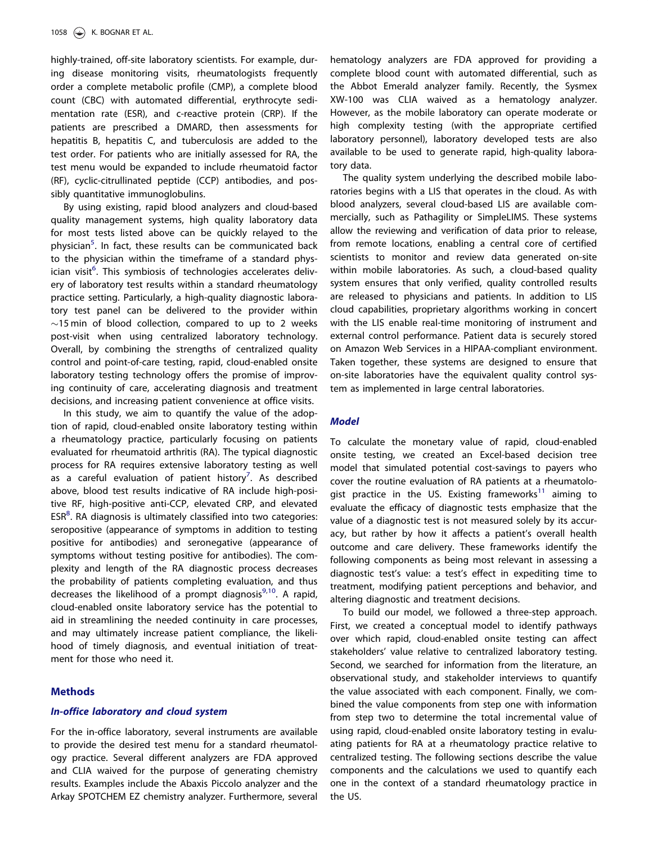<span id="page-1-0"></span>highly-trained, off-site laboratory scientists. For example, during disease monitoring visits, rheumatologists frequently order a complete metabolic profile (CMP), a complete blood count (CBC) with automated differential, erythrocyte sedimentation rate (ESR), and c-reactive protein (CRP). If the patients are prescribed a DMARD, then assessments for hepatitis B, hepatitis C, and tuberculosis are added to the test order. For patients who are initially assessed for RA, the test menu would be expanded to include rheumatoid factor (RF), cyclic-citrullinated peptide (CCP) antibodies, and possibly quantitative immunoglobulins.

By using existing, rapid blood analyzers and cloud-based quality management systems, high quality laboratory data for most tests listed above can be quickly relayed to the physician<sup>5</sup>. In fact, these results can be communicated back to the physician within the timeframe of a standard phys-ician visit<sup>[6](#page-8-0)</sup>. This symbiosis of technologies accelerates delivery of laboratory test results within a standard rheumatology practice setting. Particularly, a high-quality diagnostic laboratory test panel can be delivered to the provider within  $\sim$ 15 min of blood collection, compared to up to 2 weeks post-visit when using centralized laboratory technology. Overall, by combining the strengths of centralized quality control and point-of-care testing, rapid, cloud-enabled onsite laboratory testing technology offers the promise of improving continuity of care, accelerating diagnosis and treatment decisions, and increasing patient convenience at office visits.

In this study, we aim to quantify the value of the adoption of rapid, cloud-enabled onsite laboratory testing within a rheumatology practice, particularly focusing on patients evaluated for rheumatoid arthritis (RA). The typical diagnostic process for RA requires extensive laboratory testing as well as a careful evaluation of patient history<sup>[7](#page-8-0)</sup>. As described above, blood test results indicative of RA include high-positive RF, high-positive anti-CCP, elevated CRP, and elevated  $\mathsf{ESR}^8$ . RA diagnosis is ultimately classified into two categories: seropositive (appearance of symptoms in addition to testing positive for antibodies) and seronegative (appearance of symptoms without testing positive for antibodies). The complexity and length of the RA diagnostic process decreases the probability of patients completing evaluation, and thus decreases the likelihood of a prompt diagnosis $9,10$  $9,10$  $9,10$ . A rapid, cloud-enabled onsite laboratory service has the potential to aid in streamlining the needed continuity in care processes, and may ultimately increase patient compliance, the likelihood of timely diagnosis, and eventual initiation of treatment for those who need it.

# **Methods**

# In-office laboratory and cloud system

For the in-office laboratory, several instruments are available to provide the desired test menu for a standard rheumatology practice. Several different analyzers are FDA approved and CLIA waived for the purpose of generating chemistry results. Examples include the Abaxis Piccolo analyzer and the Arkay SPOTCHEM EZ chemistry analyzer. Furthermore, several hematology analyzers are FDA approved for providing a complete blood count with automated differential, such as the Abbot Emerald analyzer family. Recently, the Sysmex XW-100 was CLIA waived as a hematology analyzer. However, as the mobile laboratory can operate moderate or high complexity testing (with the appropriate certified laboratory personnel), laboratory developed tests are also available to be used to generate rapid, high-quality laboratory data.

The quality system underlying the described mobile laboratories begins with a LIS that operates in the cloud. As with blood analyzers, several cloud-based LIS are available commercially, such as Pathagility or SimpleLIMS. These systems allow the reviewing and verification of data prior to release, from remote locations, enabling a central core of certified scientists to monitor and review data generated on-site within mobile laboratories. As such, a cloud-based quality system ensures that only verified, quality controlled results are released to physicians and patients. In addition to LIS cloud capabilities, proprietary algorithms working in concert with the LIS enable real-time monitoring of instrument and external control performance. Patient data is securely stored on Amazon Web Services in a HIPAA-compliant environment. Taken together, these systems are designed to ensure that on-site laboratories have the equivalent quality control system as implemented in large central laboratories.

## **Model**

To calculate the monetary value of rapid, cloud-enabled onsite testing, we created an Excel-based decision tree model that simulated potential cost-savings to payers who cover the routine evaluation of RA patients at a rheumatolo-gist practice in the US. Existing frameworks<sup>[11](#page-8-0)</sup> aiming to evaluate the efficacy of diagnostic tests emphasize that the value of a diagnostic test is not measured solely by its accuracy, but rather by how it affects a patient's overall health outcome and care delivery. These frameworks identify the following components as being most relevant in assessing a diagnostic test's value: a test's effect in expediting time to treatment, modifying patient perceptions and behavior, and altering diagnostic and treatment decisions.

To build our model, we followed a three-step approach. First, we created a conceptual model to identify pathways over which rapid, cloud-enabled onsite testing can affect stakeholders' value relative to centralized laboratory testing. Second, we searched for information from the literature, an observational study, and stakeholder interviews to quantify the value associated with each component. Finally, we combined the value components from step one with information from step two to determine the total incremental value of using rapid, cloud-enabled onsite laboratory testing in evaluating patients for RA at a rheumatology practice relative to centralized testing. The following sections describe the value components and the calculations we used to quantify each one in the context of a standard rheumatology practice in the US.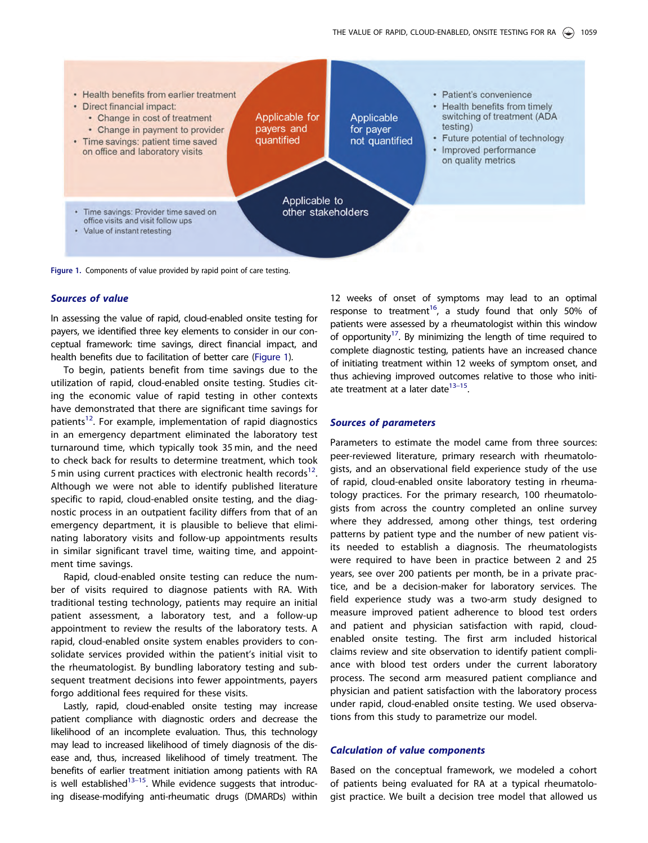<span id="page-2-0"></span>

Figure 1. Components of value provided by rapid point of care testing.

# Sources of value

In assessing the value of rapid, cloud-enabled onsite testing for payers, we identified three key elements to consider in our conceptual framework: time savings, direct financial impact, and health benefits due to facilitation of better care (Figure 1).

To begin, patients benefit from time savings due to the utilization of rapid, cloud-enabled onsite testing. Studies citing the economic value of rapid testing in other contexts have demonstrated that there are significant time savings for patients<sup>12</sup>. For example, implementation of rapid diagnostics in an emergency department eliminated the laboratory test turnaround time, which typically took 35 min, and the need to check back for results to determine treatment, which took 5 min using current practices with electronic health records<sup>12</sup>. Although we were not able to identify published literature specific to rapid, cloud-enabled onsite testing, and the diagnostic process in an outpatient facility differs from that of an emergency department, it is plausible to believe that eliminating laboratory visits and follow-up appointments results in similar significant travel time, waiting time, and appointment time savings.

Rapid, cloud-enabled onsite testing can reduce the number of visits required to diagnose patients with RA. With traditional testing technology, patients may require an initial patient assessment, a laboratory test, and a follow-up appointment to review the results of the laboratory tests. A rapid, cloud-enabled onsite system enables providers to consolidate services provided within the patient's initial visit to the rheumatologist. By bundling laboratory testing and subsequent treatment decisions into fewer appointments, payers forgo additional fees required for these visits.

Lastly, rapid, cloud-enabled onsite testing may increase patient compliance with diagnostic orders and decrease the likelihood of an incomplete evaluation. Thus, this technology may lead to increased likelihood of timely diagnosis of the disease and, thus, increased likelihood of timely treatment. The benefits of earlier treatment initiation among patients with RA is well established $13-15$ . While evidence suggests that introducing disease-modifying anti-rheumatic drugs (DMARDs) within 12 weeks of onset of symptoms may lead to an optimal response to treatment<sup>16</sup>, a study found that only 50% of patients were assessed by a rheumatologist within this window of opportunity<sup>17</sup>. By minimizing the length of time required to complete diagnostic testing, patients have an increased chance of initiating treatment within 12 weeks of symptom onset, and thus achieving improved outcomes relative to those who initiate treatment at a later date $13-15$ .

# Sources of parameters

Parameters to estimate the model came from three sources: peer-reviewed literature, primary research with rheumatologists, and an observational field experience study of the use of rapid, cloud-enabled onsite laboratory testing in rheumatology practices. For the primary research, 100 rheumatologists from across the country completed an online survey where they addressed, among other things, test ordering patterns by patient type and the number of new patient visits needed to establish a diagnosis. The rheumatologists were required to have been in practice between 2 and 25 years, see over 200 patients per month, be in a private practice, and be a decision-maker for laboratory services. The field experience study was a two-arm study designed to measure improved patient adherence to blood test orders and patient and physician satisfaction with rapid, cloudenabled onsite testing. The first arm included historical claims review and site observation to identify patient compliance with blood test orders under the current laboratory process. The second arm measured patient compliance and physician and patient satisfaction with the laboratory process under rapid, cloud-enabled onsite testing. We used observations from this study to parametrize our model.

# Calculation of value components

Based on the conceptual framework, we modeled a cohort of patients being evaluated for RA at a typical rheumatologist practice. We built a decision tree model that allowed us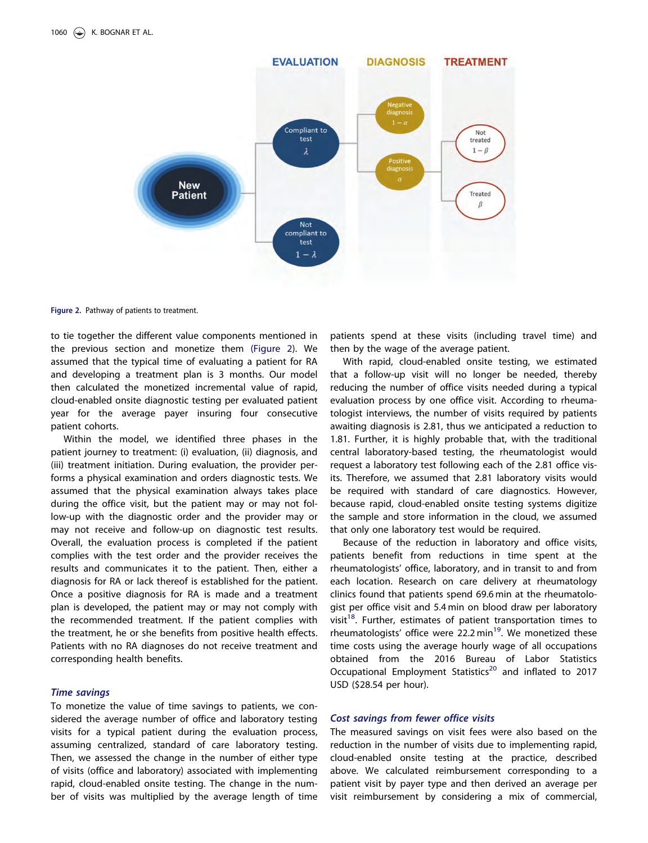<span id="page-3-0"></span>

Figure 2. Pathway of patients to treatment.

to tie together the different value components mentioned in the previous section and monetize them (Figure 2). We assumed that the typical time of evaluating a patient for RA and developing a treatment plan is 3 months. Our model then calculated the monetized incremental value of rapid, cloud-enabled onsite diagnostic testing per evaluated patient year for the average payer insuring four consecutive patient cohorts.

Within the model, we identified three phases in the patient journey to treatment: (i) evaluation, (ii) diagnosis, and (iii) treatment initiation. During evaluation, the provider performs a physical examination and orders diagnostic tests. We assumed that the physical examination always takes place during the office visit, but the patient may or may not follow-up with the diagnostic order and the provider may or may not receive and follow-up on diagnostic test results. Overall, the evaluation process is completed if the patient complies with the test order and the provider receives the results and communicates it to the patient. Then, either a diagnosis for RA or lack thereof is established for the patient. Once a positive diagnosis for RA is made and a treatment plan is developed, the patient may or may not comply with the recommended treatment. If the patient complies with the treatment, he or she benefits from positive health effects. Patients with no RA diagnoses do not receive treatment and corresponding health benefits.

To monetize the value of time savings to patients, we considered the average number of office and laboratory testing visits for a typical patient during the evaluation process, assuming centralized, standard of care laboratory testing. Then, we assessed the change in the number of either type of visits (office and laboratory) associated with implementing rapid, cloud-enabled onsite testing. The change in the number of visits was multiplied by the average length of time

patients spend at these visits (including travel time) and then by the wage of the average patient.

With rapid, cloud-enabled onsite testing, we estimated that a follow-up visit will no longer be needed, thereby reducing the number of office visits needed during a typical evaluation process by one office visit. According to rheumatologist interviews, the number of visits required by patients awaiting diagnosis is 2.81, thus we anticipated a reduction to 1.81. Further, it is highly probable that, with the traditional central laboratory-based testing, the rheumatologist would request a laboratory test following each of the 2.81 office visits. Therefore, we assumed that 2.81 laboratory visits would be required with standard of care diagnostics. However, because rapid, cloud-enabled onsite testing systems digitize the sample and store information in the cloud, we assumed that only one laboratory test would be required.

Because of the reduction in laboratory and office visits, patients benefit from reductions in time spent at the rheumatologists' office, laboratory, and in transit to and from each location. Research on care delivery at rheumatology clinics found that patients spend 69.6 min at the rheumatologist per office visit and 5.4 min on blood draw per laboratory visit<sup>[18](#page-8-0)</sup>. Further, estimates of patient transportation times to rheumatologists' office were 22.2 min<sup>[19](#page-8-0)</sup>. We monetized these time costs using the average hourly wage of all occupations obtained from the 2016 Bureau of Labor Statistics Occupational Employment Statistics<sup>20</sup> and inflated to 2017 USD (\$28.54 per hour).

The measured savings on visit fees were also based on the reduction in the number of visits due to implementing rapid, cloud-enabled onsite testing at the practice, described above. We calculated reimbursement corresponding to a patient visit by payer type and then derived an average per visit reimbursement by considering a mix of commercial,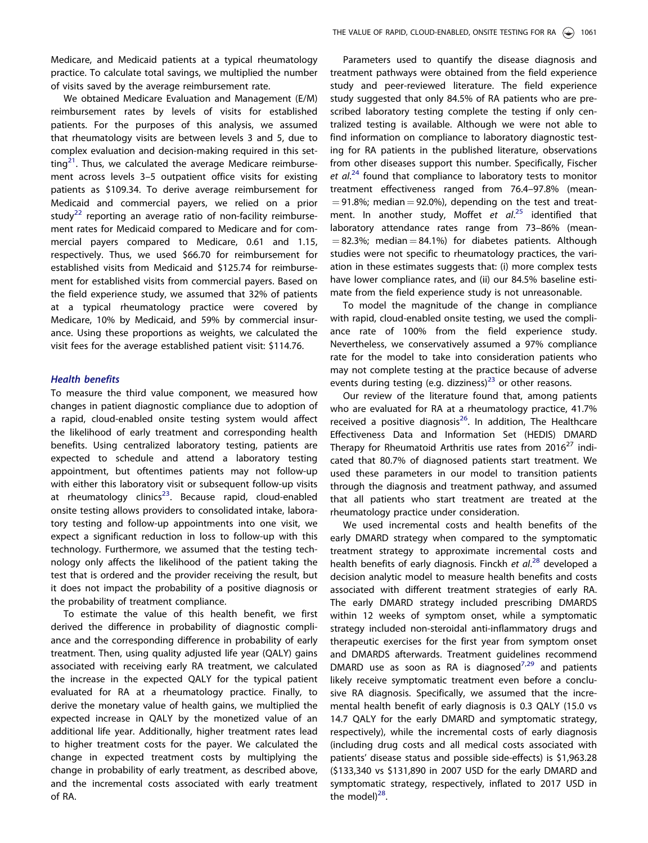<span id="page-4-0"></span>Medicare, and Medicaid patients at a typical rheumatology practice. To calculate total savings, we multiplied the number of visits saved by the average reimbursement rate.

We obtained Medicare Evaluation and Management (E/M) reimbursement rates by levels of visits for established patients. For the purposes of this analysis, we assumed that rheumatology visits are between levels 3 and 5, due to complex evaluation and decision-making required in this set- $\frac{1}{2}$ . Thus, we calculated the average Medicare reimbursement across levels 3–5 outpatient office visits for existing patients as \$109.34. To derive average reimbursement for Medicaid and commercial payers, we relied on a prior study<sup>[22](#page-8-0)</sup> reporting an average ratio of non-facility reimbursement rates for Medicaid compared to Medicare and for commercial payers compared to Medicare, 0.61 and 1.15, respectively. Thus, we used \$66.70 for reimbursement for established visits from Medicaid and \$125.74 for reimbursement for established visits from commercial payers. Based on the field experience study, we assumed that 32% of patients at a typical rheumatology practice were covered by Medicare, 10% by Medicaid, and 59% by commercial insurance. Using these proportions as weights, we calculated the visit fees for the average established patient visit: \$114.76.

# **Health benefits**

To measure the third value component, we measured how changes in patient diagnostic compliance due to adoption of a rapid, cloud-enabled onsite testing system would affect the likelihood of early treatment and corresponding health benefits. Using centralized laboratory testing, patients are expected to schedule and attend a laboratory testing appointment, but oftentimes patients may not follow-up with either this laboratory visit or subsequent follow-up visits at rheumatology clinics $^{23}$ . Because rapid, cloud-enabled onsite testing allows providers to consolidated intake, laboratory testing and follow-up appointments into one visit, we expect a significant reduction in loss to follow-up with this technology. Furthermore, we assumed that the testing technology only affects the likelihood of the patient taking the test that is ordered and the provider receiving the result, but it does not impact the probability of a positive diagnosis or the probability of treatment compliance.

To estimate the value of this health benefit, we first derived the difference in probability of diagnostic compliance and the corresponding difference in probability of early treatment. Then, using quality adjusted life year (QALY) gains associated with receiving early RA treatment, we calculated the increase in the expected QALY for the typical patient evaluated for RA at a rheumatology practice. Finally, to derive the monetary value of health gains, we multiplied the expected increase in QALY by the monetized value of an additional life year. Additionally, higher treatment rates lead to higher treatment costs for the payer. We calculated the change in expected treatment costs by multiplying the change in probability of early treatment, as described above, and the incremental costs associated with early treatment of RA.

Parameters used to quantify the disease diagnosis and treatment pathways were obtained from the field experience study and peer-reviewed literature. The field experience study suggested that only 84.5% of RA patients who are prescribed laboratory testing complete the testing if only centralized testing is available. Although we were not able to find information on compliance to laboratory diagnostic testing for RA patients in the published literature, observations from other diseases support this number. Specifically, Fischer et al.<sup>[24](#page-9-0)</sup> found that compliance to laboratory tests to monitor treatment effectiveness ranged from 76.4–97.8% (mean-  $= 91.8\%$ ; median  $= 92.0\%$ ), depending on the test and treat-ment. In another study, Moffet et al.<sup>[25](#page-9-0)</sup> identified that laboratory attendance rates range from 73–86% (mean-  $= 82.3\%$ ; median  $= 84.1\%$ ) for diabetes patients. Although studies were not specific to rheumatology practices, the variation in these estimates suggests that: (i) more complex tests have lower compliance rates, and (ii) our 84.5% baseline estimate from the field experience study is not unreasonable.

To model the magnitude of the change in compliance with rapid, cloud-enabled onsite testing, we used the compliance rate of 100% from the field experience study. Nevertheless, we conservatively assumed a 97% compliance rate for the model to take into consideration patients who may not complete testing at the practice because of adverse events during testing (e.g. dizziness) $^{23}$  $^{23}$  $^{23}$  or other reasons.

Our review of the literature found that, among patients who are evaluated for RA at a rheumatology practice, 41.7% received a positive diagnosis $^{26}$ . In addition, The Healthcare Effectiveness Data and Information Set (HEDIS) DMARD Therapy for Rheumatoid Arthritis use rates from  $2016^{27}$  indicated that 80.7% of diagnosed patients start treatment. We used these parameters in our model to transition patients through the diagnosis and treatment pathway, and assumed that all patients who start treatment are treated at the rheumatology practice under consideration.

We used incremental costs and health benefits of the early DMARD strategy when compared to the symptomatic treatment strategy to approximate incremental costs and health benefits of early diagnosis. Finckh et al.<sup>[28](#page-9-0)</sup> developed a decision analytic model to measure health benefits and costs associated with different treatment strategies of early RA. The early DMARD strategy included prescribing DMARDS within 12 weeks of symptom onset, while a symptomatic strategy included non-steroidal anti-inflammatory drugs and therapeutic exercises for the first year from symptom onset and DMARDS afterwards. Treatment guidelines recommend DMARD use as soon as RA is diagnosed $^{7,29}$  $^{7,29}$  $^{7,29}$  $^{7,29}$  and patients likely receive symptomatic treatment even before a conclusive RA diagnosis. Specifically, we assumed that the incremental health benefit of early diagnosis is 0.3 QALY (15.0 vs 14.7 QALY for the early DMARD and symptomatic strategy, respectively), while the incremental costs of early diagnosis (including drug costs and all medical costs associated with patients' disease status and possible side-effects) is \$1,963.28 (\$133,340 vs \$131,890 in 2007 USD for the early DMARD and symptomatic strategy, respectively, inflated to 2017 USD in the model $)^{28}$ .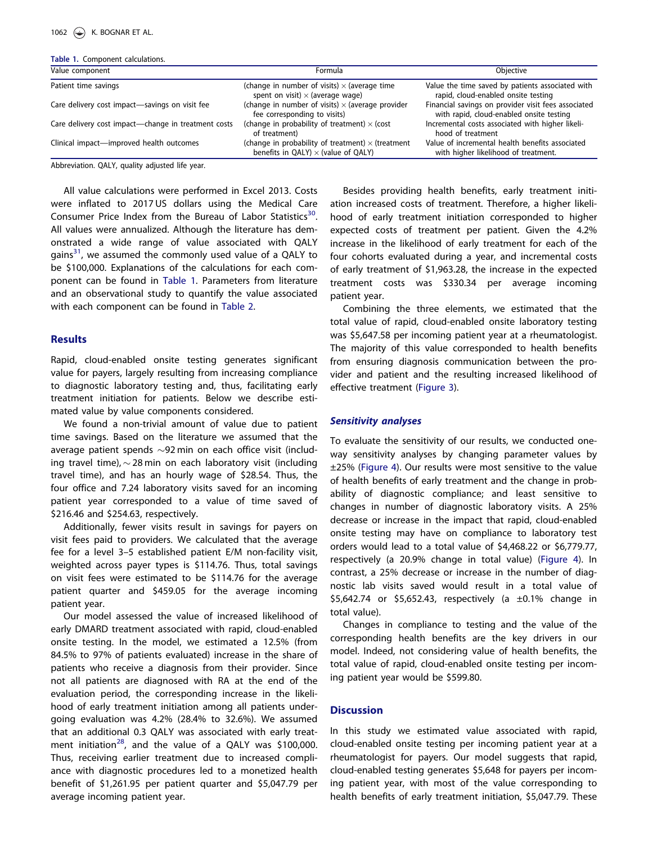<span id="page-5-0"></span>Table 1. Component calculations.

| Value component                                     | Formula                                                                                                | Obiective<br>Value the time saved by patients associated with<br>rapid, cloud-enabled onsite testing |  |
|-----------------------------------------------------|--------------------------------------------------------------------------------------------------------|------------------------------------------------------------------------------------------------------|--|
| Patient time savings                                | (change in number of visits) $\times$ (average time<br>spent on visit) $\times$ (average wage)         |                                                                                                      |  |
| Care delivery cost impact-savings on visit fee      | (change in number of visits) $\times$ (average provider<br>fee corresponding to visits)                | Financial savings on provider visit fees associated<br>with rapid, cloud-enabled onsite testing      |  |
| Care delivery cost impact-change in treatment costs | (change in probability of treatment) $\times$ (cost<br>of treatment)                                   | Incremental costs associated with higher likeli-<br>hood of treatment                                |  |
| Clinical impact-improved health outcomes            | (change in probability of treatment) $\times$ (treatment<br>benefits in QALY) $\times$ (value of QALY) | Value of incremental health benefits associated<br>with higher likelihood of treatment.              |  |
|                                                     |                                                                                                        |                                                                                                      |  |

Abbreviation. QALY, quality adjusted life year.

All value calculations were performed in Excel 2013. Costs were inflated to 2017 US dollars using the Medical Care Consumer Price Index from the Bureau of Labor Statistics<sup>30</sup>. All values were annualized. Although the literature has demonstrated a wide range of value associated with QALY gains $31$ , we assumed the commonly used value of a QALY to be \$100,000. Explanations of the calculations for each component can be found in Table 1. Parameters from literature and an observational study to quantify the value associated with each component can be found in [Table 2](#page-6-0).

# **Results**

Rapid, cloud-enabled onsite testing generates significant value for payers, largely resulting from increasing compliance to diagnostic laboratory testing and, thus, facilitating early treatment initiation for patients. Below we describe estimated value by value components considered.

We found a non-trivial amount of value due to patient time savings. Based on the literature we assumed that the average patient spends  $\sim$ 92 min on each office visit (including travel time),  $\sim$  28 min on each laboratory visit (including travel time), and has an hourly wage of \$28.54. Thus, the four office and 7.24 laboratory visits saved for an incoming patient year corresponded to a value of time saved of \$216.46 and \$254.63, respectively.

Additionally, fewer visits result in savings for payers on visit fees paid to providers. We calculated that the average fee for a level 3–5 established patient E/M non-facility visit, weighted across payer types is \$114.76. Thus, total savings on visit fees were estimated to be \$114.76 for the average patient quarter and \$459.05 for the average incoming patient year.

Our model assessed the value of increased likelihood of early DMARD treatment associated with rapid, cloud-enabled onsite testing. In the model, we estimated a 12.5% (from 84.5% to 97% of patients evaluated) increase in the share of patients who receive a diagnosis from their provider. Since not all patients are diagnosed with RA at the end of the evaluation period, the corresponding increase in the likelihood of early treatment initiation among all patients undergoing evaluation was 4.2% (28.4% to 32.6%). We assumed that an additional 0.3 QALY was associated with early treat-ment initiation<sup>[28](#page-9-0)</sup>, and the value of a QALY was \$100,000. Thus, receiving earlier treatment due to increased compliance with diagnostic procedures led to a monetized health benefit of \$1,261.95 per patient quarter and \$5,047.79 per average incoming patient year.

Besides providing health benefits, early treatment initiation increased costs of treatment. Therefore, a higher likelihood of early treatment initiation corresponded to higher expected costs of treatment per patient. Given the 4.2% increase in the likelihood of early treatment for each of the four cohorts evaluated during a year, and incremental costs of early treatment of \$1,963.28, the increase in the expected treatment costs was \$330.34 per average incoming patient year.

Combining the three elements, we estimated that the total value of rapid, cloud-enabled onsite laboratory testing was \$5,647.58 per incoming patient year at a rheumatologist. The majority of this value corresponded to health benefits from ensuring diagnosis communication between the provider and patient and the resulting increased likelihood of effective treatment ([Figure 3\)](#page-6-0).

#### Sensitivity analyses

To evaluate the sensitivity of our results, we conducted oneway sensitivity analyses by changing parameter values by ±25% ([Figure 4\)](#page-7-0). Our results were most sensitive to the value of health benefits of early treatment and the change in probability of diagnostic compliance; and least sensitive to changes in number of diagnostic laboratory visits. A 25% decrease or increase in the impact that rapid, cloud-enabled onsite testing may have on compliance to laboratory test orders would lead to a total value of \$4,468.22 or \$6,779.77, respectively (a 20.9% change in total value) ([Figure 4](#page-7-0)). In contrast, a 25% decrease or increase in the number of diagnostic lab visits saved would result in a total value of \$5,642.74 or \$5,652.43, respectively (a  $\pm$ 0.1% change in total value).

Changes in compliance to testing and the value of the corresponding health benefits are the key drivers in our model. Indeed, not considering value of health benefits, the total value of rapid, cloud-enabled onsite testing per incoming patient year would be \$599.80.

# **Discussion**

In this study we estimated value associated with rapid, cloud-enabled onsite testing per incoming patient year at a rheumatologist for payers. Our model suggests that rapid, cloud-enabled testing generates \$5,648 for payers per incoming patient year, with most of the value corresponding to health benefits of early treatment initiation, \$5,047.79. These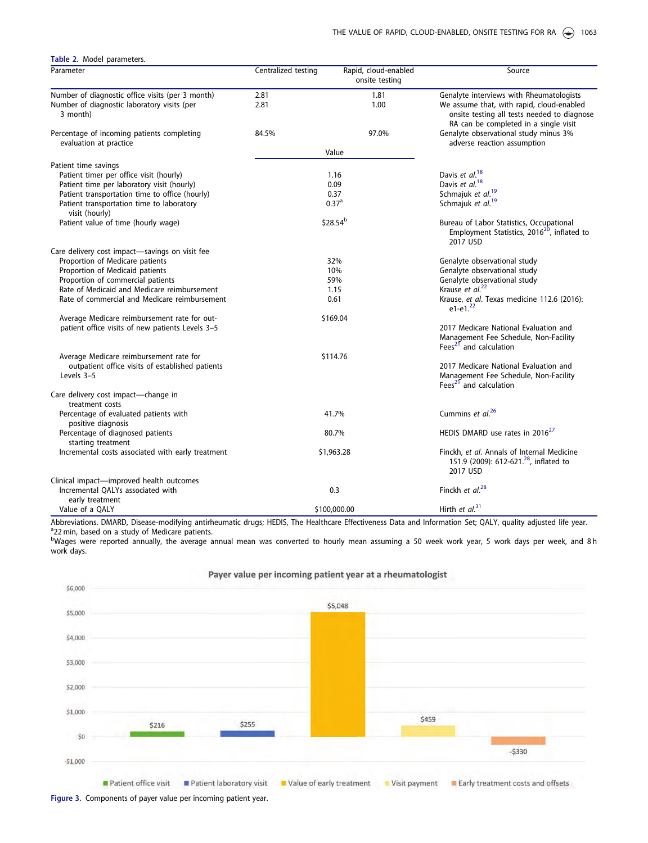<span id="page-6-0"></span>

| Table 2. Model parameters.                                           |                     |                                        |                                                                                                                                   |  |  |
|----------------------------------------------------------------------|---------------------|----------------------------------------|-----------------------------------------------------------------------------------------------------------------------------------|--|--|
| Parameter                                                            | Centralized testing | Rapid, cloud-enabled<br>onsite testing | Source                                                                                                                            |  |  |
| Number of diagnostic office visits (per 3 month)                     | 2.81                | 1.81                                   | Genalyte interviews with Rheumatologists                                                                                          |  |  |
| Number of diagnostic laboratory visits (per<br>3 month)              | 2.81                | 1.00                                   | We assume that, with rapid, cloud-enabled<br>onsite testing all tests needed to diagnose<br>RA can be completed in a single visit |  |  |
| Percentage of incoming patients completing<br>evaluation at practice | 84.5%               | 97.0%                                  | Genalyte observational study minus 3%<br>adverse reaction assumption                                                              |  |  |
|                                                                      |                     | Value                                  |                                                                                                                                   |  |  |
| Patient time savings                                                 |                     |                                        |                                                                                                                                   |  |  |
| Patient timer per office visit (hourly)                              | 1.16                |                                        | Davis et al. <sup>18</sup>                                                                                                        |  |  |
| Patient time per laboratory visit (hourly)                           | 0.09                |                                        | Davis et al. <sup>18</sup>                                                                                                        |  |  |
| Patient transportation time to office (hourly)                       | 0.37                |                                        | Schmajuk et al. <sup>19</sup>                                                                                                     |  |  |
| Patient transportation time to laboratory<br>visit (hourly)          | 0.37 <sup>a</sup>   |                                        | Schmajuk et al. <sup>19</sup>                                                                                                     |  |  |
| Patient value of time (hourly wage)                                  |                     | \$28.54 <sup>b</sup>                   | Bureau of Labor Statistics, Occupational<br>Employment Statistics, 2016 <sup>20</sup> , inflated to<br>2017 USD                   |  |  |
| Care delivery cost impact-savings on visit fee                       |                     |                                        |                                                                                                                                   |  |  |
| Proportion of Medicare patients                                      |                     | 32%                                    | Genalyte observational study                                                                                                      |  |  |
| Proportion of Medicaid patients                                      |                     | 10%                                    | Genalyte observational study                                                                                                      |  |  |
| Proportion of commercial patients                                    |                     | 59%                                    | Genalyte observational study                                                                                                      |  |  |
| Rate of Medicaid and Medicare reimbursement                          |                     | 1.15                                   | Krause et al. <sup>22</sup>                                                                                                       |  |  |
| Rate of commercial and Medicare reimbursement                        |                     | 0.61                                   | Krause, et al. Texas medicine 112.6 (2016):<br>$e1-e1.22$                                                                         |  |  |
| Average Medicare reimbursement rate for out-                         |                     | \$169.04                               |                                                                                                                                   |  |  |
| patient office visits of new patients Levels 3-5                     |                     |                                        | 2017 Medicare National Evaluation and<br>Management Fee Schedule, Non-Facility<br>Fees <sup>21</sup> and calculation              |  |  |
| Average Medicare reimbursement rate for                              |                     | \$114.76                               |                                                                                                                                   |  |  |
| outpatient office visits of established patients<br>Levels 3-5       |                     |                                        | 2017 Medicare National Evaluation and<br>Management Fee Schedule, Non-Facility<br>Fees <sup>21</sup> and calculation              |  |  |
| Care delivery cost impact-change in<br>treatment costs               |                     |                                        |                                                                                                                                   |  |  |
| Percentage of evaluated patients with<br>positive diagnosis          |                     | 41.7%                                  | Cummins et al. <sup>26</sup>                                                                                                      |  |  |
| Percentage of diagnosed patients<br>starting treatment               | 80.7%               |                                        | HEDIS DMARD use rates in 2016 <sup>27</sup>                                                                                       |  |  |
| Incremental costs associated with early treatment                    |                     | \$1,963.28                             | Finckh, et al. Annals of Internal Medicine<br>151.9 (2009): 612-621. <sup>28</sup> , inflated to<br>2017 USD                      |  |  |
| Clinical impact-improved health outcomes                             |                     |                                        |                                                                                                                                   |  |  |
| Incremental QALYs associated with<br>early treatment                 |                     | 0.3                                    | Finckh et $al^{28}$                                                                                                               |  |  |
| Value of a QALY                                                      |                     | \$100,000.00                           | Hirth et $al.^{31}$                                                                                                               |  |  |

Abbreviations. DMARD, Disease-modifying antirheumatic drugs; HEDIS, The Healthcare Effectiveness Data and Information Set; QALY, quality adjusted life year. <sup>a</sup>22 min, based on a study of Medicare patients.

bWages were reported annually, the average annual mean was converted to hourly mean assuming a 50 week work year, 5 work days per week, and 8 h work days.

Payer value per incoming patient year at a rheumatologist



Figure 3. Components of payer value per incoming patient year.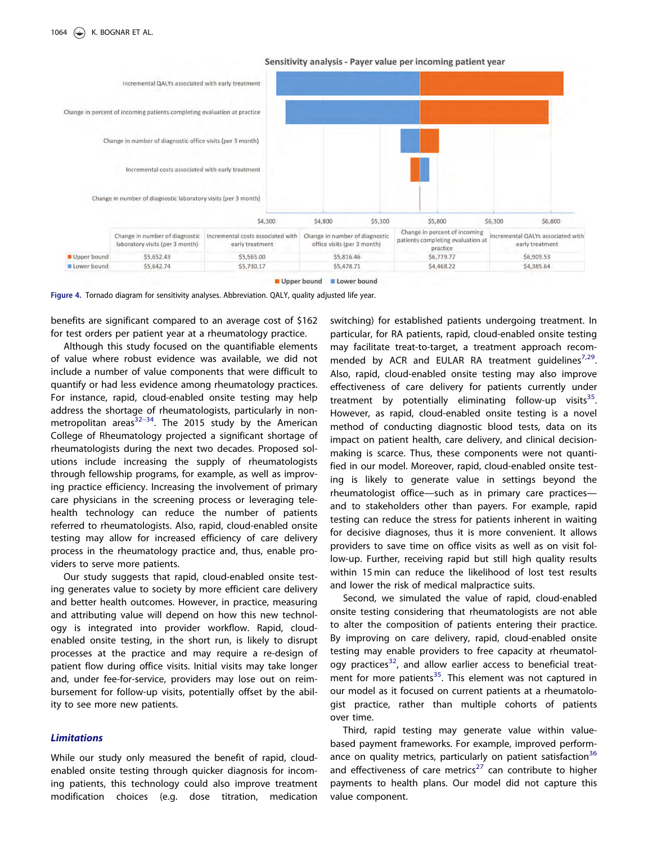<span id="page-7-0"></span>

Sensitivity analysis - Payer value per incoming patient year

Upper bound Lower bound



benefits are significant compared to an average cost of \$162 for test orders per patient year at a rheumatology practice.

Although this study focused on the quantifiable elements of value where robust evidence was available, we did not include a number of value components that were difficult to quantify or had less evidence among rheumatology practices. For instance, rapid, cloud-enabled onsite testing may help address the shortage of rheumatologists, particularly in nonmetropolitan areas $32-34$ . The 2015 study by the American College of Rheumatology projected a significant shortage of rheumatologists during the next two decades. Proposed solutions include increasing the supply of rheumatologists through fellowship programs, for example, as well as improving practice efficiency. Increasing the involvement of primary care physicians in the screening process or leveraging telehealth technology can reduce the number of patients referred to rheumatologists. Also, rapid, cloud-enabled onsite testing may allow for increased efficiency of care delivery process in the rheumatology practice and, thus, enable providers to serve more patients.

Our study suggests that rapid, cloud-enabled onsite testing generates value to society by more efficient care delivery and better health outcomes. However, in practice, measuring and attributing value will depend on how this new technology is integrated into provider workflow. Rapid, cloudenabled onsite testing, in the short run, is likely to disrupt processes at the practice and may require a re-design of patient flow during office visits. Initial visits may take longer and, under fee-for-service, providers may lose out on reimbursement for follow-up visits, potentially offset by the ability to see more new patients.

# Limitations

While our study only measured the benefit of rapid, cloudenabled onsite testing through quicker diagnosis for incoming patients, this technology could also improve treatment modification choices (e.g. dose titration, medication switching) for established patients undergoing treatment. In particular, for RA patients, rapid, cloud-enabled onsite testing may facilitate treat-to-target, a treatment approach recommended by ACR and EULAR RA treatment quidelines $7.29$ . Also, rapid, cloud-enabled onsite testing may also improve effectiveness of care delivery for patients currently under treatment by potentially eliminating follow-up visits $35$ . However, as rapid, cloud-enabled onsite testing is a novel method of conducting diagnostic blood tests, data on its impact on patient health, care delivery, and clinical decisionmaking is scarce. Thus, these components were not quantified in our model. Moreover, rapid, cloud-enabled onsite testing is likely to generate value in settings beyond the rheumatologist office—such as in primary care practices and to stakeholders other than payers. For example, rapid testing can reduce the stress for patients inherent in waiting for decisive diagnoses, thus it is more convenient. It allows providers to save time on office visits as well as on visit follow-up. Further, receiving rapid but still high quality results within 15 min can reduce the likelihood of lost test results and lower the risk of medical malpractice suits.

Second, we simulated the value of rapid, cloud-enabled onsite testing considering that rheumatologists are not able to alter the composition of patients entering their practice. By improving on care delivery, rapid, cloud-enabled onsite testing may enable providers to free capacity at rheumatology practices $32$ , and allow earlier access to beneficial treat-ment for more patients<sup>[35](#page-9-0)</sup>. This element was not captured in our model as it focused on current patients at a rheumatologist practice, rather than multiple cohorts of patients over time.

Third, rapid testing may generate value within valuebased payment frameworks. For example, improved perform-ance on quality metrics, particularly on patient satisfaction<sup>[36](#page-9-0)</sup> and effectiveness of care metrics<sup>[27](#page-9-0)</sup> can contribute to higher payments to health plans. Our model did not capture this value component.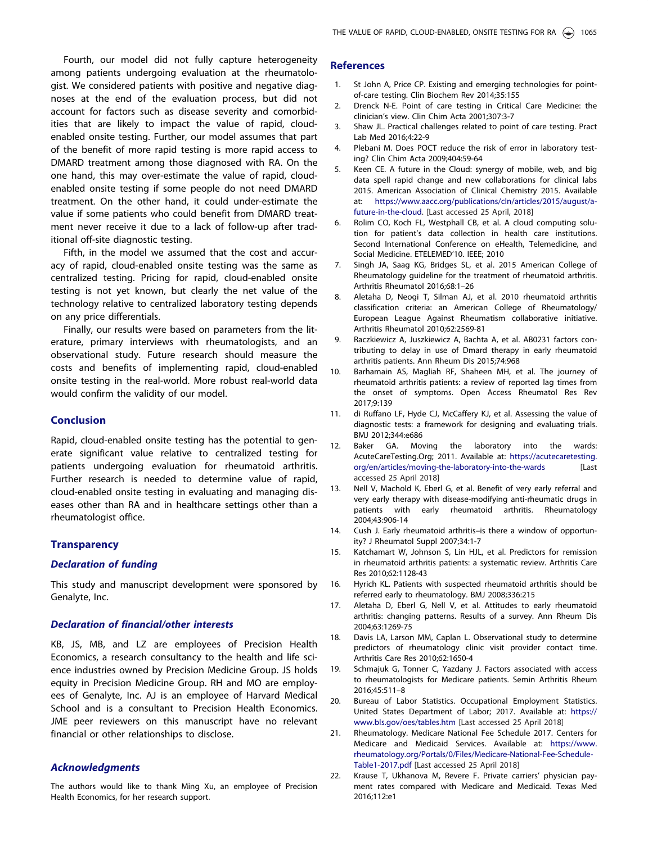<span id="page-8-0"></span>Fourth, our model did not fully capture heterogeneity among patients undergoing evaluation at the rheumatologist. We considered patients with positive and negative diagnoses at the end of the evaluation process, but did not account for factors such as disease severity and comorbidities that are likely to impact the value of rapid, cloudenabled onsite testing. Further, our model assumes that part of the benefit of more rapid testing is more rapid access to DMARD treatment among those diagnosed with RA. On the one hand, this may over-estimate the value of rapid, cloudenabled onsite testing if some people do not need DMARD treatment. On the other hand, it could under-estimate the value if some patients who could benefit from DMARD treatment never receive it due to a lack of follow-up after traditional off-site diagnostic testing.

Fifth, in the model we assumed that the cost and accuracy of rapid, cloud-enabled onsite testing was the same as centralized testing. Pricing for rapid, cloud-enabled onsite testing is not yet known, but clearly the net value of the technology relative to centralized laboratory testing depends on any price differentials.

Finally, our results were based on parameters from the literature, primary interviews with rheumatologists, and an observational study. Future research should measure the costs and benefits of implementing rapid, cloud-enabled onsite testing in the real-world. More robust real-world data would confirm the validity of our model.

### **Conclusion**

Rapid, cloud-enabled onsite testing has the potential to generate significant value relative to centralized testing for patients undergoing evaluation for rheumatoid arthritis. Further research is needed to determine value of rapid, cloud-enabled onsite testing in evaluating and managing diseases other than RA and in healthcare settings other than a rheumatologist office.

# **Transparency**

### Declaration of funding

This study and manuscript development were sponsored by Genalyte, Inc.

### Declaration of financial/other interests

KB, JS, MB, and LZ are employees of Precision Health Economics, a research consultancy to the health and life science industries owned by Precision Medicine Group. JS holds equity in Precision Medicine Group. RH and MO are employees of Genalyte, Inc. AJ is an employee of Harvard Medical School and is a consultant to Precision Health Economics. JME peer reviewers on this manuscript have no relevant financial or other relationships to disclose.

# Acknowledgments

The authors would like to thank Ming Xu, an employee of Precision Health Economics, for her research support.

# **References**

- [1. S](#page-0-0)t John A, Price CP. Existing and emerging technologies for pointof-care testing. Clin Biochem Rev 2014;35:155
- [2. D](#page-0-0)renck N-E. Point of care testing in Critical Care Medicine: the clinician's view. Clin Chim Acta 2001;307:3-7
- [3. S](#page-0-0)haw JL. Practical challenges related to point of care testing. Pract Lab Med 2016;4:22-9
- [4. P](#page-0-0)lebani M. Does POCT reduce the risk of error in laboratory testing? Clin Chim Acta 2009;404:59-64
- [5. K](#page-1-0)een CE. A future in the Cloud: synergy of mobile, web, and big data spell rapid change and new collaborations for clinical labs 2015. American Association of Clinical Chemistry 2015. Available at: [https://www.aacc.org/publications/cln/articles/2015/august/a](https://www.aacc.org/publications/cln/articles/2015/august/a-future-in-the-cloud)[future-in-the-cloud.](https://www.aacc.org/publications/cln/articles/2015/august/a-future-in-the-cloud) [Last accessed 25 April, 2018]
- [6. R](#page-1-0)olim CO, Koch FL, Westphall CB, et al. A cloud computing solution for patient's data collection in health care institutions. Second International Conference on eHealth, Telemedicine, and Social Medicine. ETELEMED'10. IEEE; 2010
- [7. S](#page-1-0)ingh JA, Saag KG, Bridges SL, et al. 2015 American College of Rheumatology guideline for the treatment of rheumatoid arthritis. Arthritis Rheumatol 2016;68:1–26
- [8. A](#page-1-0)letaha D, Neogi T, Silman AJ, et al. 2010 rheumatoid arthritis classification criteria: an American College of Rheumatology/ European League Against Rheumatism collaborative initiative. Arthritis Rheumatol 2010;62:2569-81
- [9. R](#page-1-0)aczkiewicz A, Juszkiewicz A, Bachta A, et al. AB0231 factors contributing to delay in use of Dmard therapy in early rheumatoid arthritis patients. Ann Rheum Dis 2015;74:968
- [10. B](#page-1-0)arhamain AS, Magliah RF, Shaheen MH, et al. The journey of rheumatoid arthritis patients: a review of reported lag times from the onset of symptoms. Open Access Rheumatol Res Rev 2017;9:139
- [11. d](#page-1-0)i Ruffano LF, Hyde CJ, McCaffery KJ, et al. Assessing the value of diagnostic tests: a framework for designing and evaluating trials. BMJ 2012;344:e686
- [12. B](#page-2-0)aker GA. Moving the laboratory into the wards: AcuteCareTesting.Org; 2011. Available at: [https://acutecaretesting.](https://acutecaretesting.org/en/articles/moving-the-laboratory-into-the-wards) [org/en/articles/moving-the-laboratory-into-the-wards](https://acutecaretesting.org/en/articles/moving-the-laboratory-into-the-wards) [Last accessed 25 April 2018]
- [13. N](#page-2-0)ell V, Machold K, Eberl G, et al. Benefit of very early referral and very early therapy with disease-modifying anti-rheumatic drugs in patients with early rheumatoid arthritis. Rheumatology 2004;43:906-14
- 14. Cush J. Early rheumatoid arthritis–is there a window of opportunity? J Rheumatol Suppl 2007;34:1-7
- 15. Katchamart W, Johnson S, Lin HJL, et al. Predictors for remission in rheumatoid arthritis patients: a systematic review. Arthritis Care Res 2010;62:1128-43
- [16. H](#page-2-0)yrich KL. Patients with suspected rheumatoid arthritis should be referred early to rheumatology. BMJ 2008;336:215
- [17. A](#page-2-0)letaha D, Eberl G, Nell V, et al. Attitudes to early rheumatoid arthritis: changing patterns. Results of a survey. Ann Rheum Dis 2004;63:1269-75
- [18. D](#page-3-0)avis LA, Larson MM, Caplan L. Observational study to determine predictors of rheumatology clinic visit provider contact time. Arthritis Care Res 2010;62:1650-4
- [19. S](#page-3-0)chmajuk G, Tonner C, Yazdany J. Factors associated with access to rheumatologists for Medicare patients. Semin Arthritis Rheum 2016;45:511–8
- [20. B](#page-3-0)ureau of Labor Statistics. Occupational Employment Statistics. United States Department of Labor; 2017. Available at: [https://](https://www.bls.gov/oes/tables.htm) [www.bls.gov/oes/tables.htm](https://www.bls.gov/oes/tables.htm) [Last accessed 25 April 2018]
- [21. R](#page-4-0)heumatology. Medicare National Fee Schedule 2017. Centers for Medicare and Medicaid Services. Available at: [https://www.](https://www.rheumatology.org/Portals/0/Files/Medicare-National-Fee-Schedule-Table1-2017.pdf) [rheumatology.org/Portals/0/Files/Medicare-National-Fee-Schedule-](https://www.rheumatology.org/Portals/0/Files/Medicare-National-Fee-Schedule-Table1-2017.pdf)[Table1-2017.pdf](https://www.rheumatology.org/Portals/0/Files/Medicare-National-Fee-Schedule-Table1-2017.pdf) [Last accessed 25 April 2018]
- [22. K](#page-4-0)rause T, Ukhanova M, Revere F. Private carriers' physician payment rates compared with Medicare and Medicaid. Texas Med 2016;112:e1